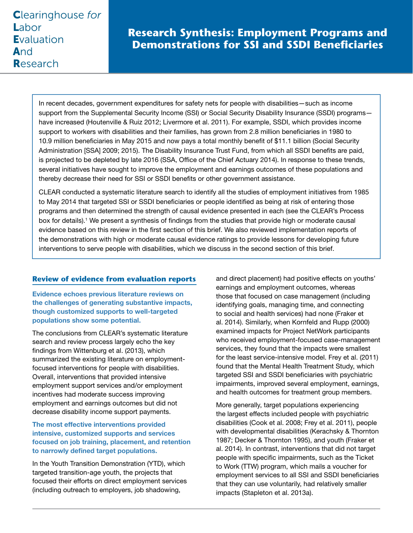# **Research Synthesis: Employment Programs and Demonstrations for SSI and SSDI Beneficiaries**

In recent decades, government expenditures for safety nets for people with disabilities—such as income support from the Supplemental Security Income (SSI) or Social Security Disability Insurance (SSDI) programs have increased (Houtenville & Ruiz 2012; Livermore et al. 2011). For example, SSDI, which provides income support to workers with disabilities and their families, has grown from 2.8 million beneficiaries in 1980 to 10.9 million beneficiaries in May 2015 and now pays a total monthly benefit of \$11.1 billion (Social Security Administration [SSA] 2009; 2015). The Disability Insurance Trust Fund, from which all SSDI benefits are paid, is projected to be depleted by late 2016 (SSA, Office of the Chief Actuary 2014). In response to these trends, several initiatives have sought to improve the employment and earnings outcomes of these populations and thereby decrease their need for SSI or SSDI benefits or other government assistance.

CLEAR conducted a systematic literature search to identify all the studies of employment initiatives from 1985 to May 2014 that targeted SSI or SSDI beneficiaries or people identified as being at risk of entering those programs and then determined the strength of causal evidence presented in each (see the CLEAR's Process box for details).<sup>1</sup> We present a synthesis of findings from the studies that provide high or moderate causal evidence based on this review in the first section of this brief. We also reviewed implementation reports of the demonstrations with high or moderate causal evidence ratings to provide lessons for developing future interventions to serve people with disabilities, which we discuss in the second section of this brief.

## **Review of evidence from evaluation reports**

Evidence echoes previous literature reviews on the challenges of generating substantive impacts, though customized supports to well-targeted populations show some potential.

The conclusions from CLEAR's systematic literature search and review process largely echo the key findings from Wittenburg et al. (2013), which summarized the existing literature on employmentfocused interventions for people with disabilities. Overall, interventions that provided intensive employment support services and/or employment incentives had moderate success improving employment and earnings outcomes but did not decrease disability income support payments.

## The most effective interventions provided intensive, customized supports and services focused on job training, placement, and retention to narrowly defined target populations.

In the Youth Transition Demonstration (YTD), which targeted transition-age youth, the projects that focused their efforts on direct employment services (including outreach to employers, job shadowing,

and direct placement) had positive effects on youths' earnings and employment outcomes, whereas those that focused on case management (including identifying goals, managing time, and connecting to social and health services) had none (Fraker et al. 2014). Similarly, when Kornfeld and Rupp (2000) examined impacts for Project NetWork participants who received employment-focused case-management services, they found that the impacts were smallest for the least service-intensive model. Frey et al. (2011) found that the Mental Health Treatment Study, which targeted SSI and SSDI beneficiaries with psychiatric impairments, improved several employment, earnings, and health outcomes for treatment group members.

More generally, target populations experiencing the largest effects included people with psychiatric disabilities (Cook et al. 2008; Frey et al. 2011), people with developmental disabilities (Kerachsky & Thornton 1987; Decker & Thornton 1995), and youth (Fraker et al. 2014). In contrast, interventions that did not target people with specific impairments, such as the Ticket to Work (TTW) program, which mails a voucher for employment services to all SSI and SSDI beneficiaries that they can use voluntarily, had relatively smaller impacts (Stapleton et al. 2013a).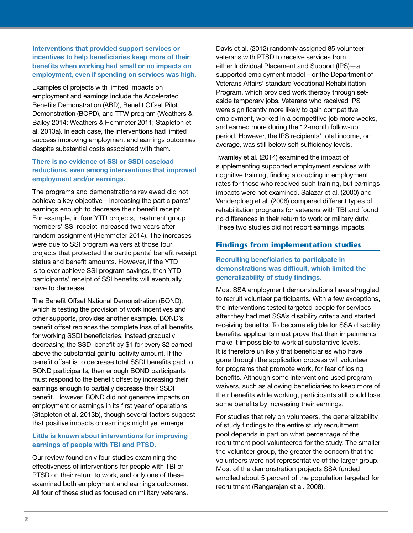## Interventions that provided support services or incentives to help beneficiaries keep more of their benefits when working had small or no impacts on employment, even if spending on services was high.

Examples of projects with limited impacts on employment and earnings include the Accelerated Benefits Demonstration (ABD), Benefit Offset Pilot Demonstration (BOPD), and TTW program (Weathers & Bailey 2014; Weathers & Hemmeter 2011; Stapleton et al. 2013a). In each case, the interventions had limited success improving employment and earnings outcomes despite substantial costs associated with them.

### There is no evidence of SSI or SSDI caseload reductions, even among interventions that improved employment and/or earnings.

The programs and demonstrations reviewed did not achieve a key objective—increasing the participants' earnings enough to decrease their benefit receipt. For example, in four YTD projects, treatment group members' SSI receipt increased two years after random assignment (Hemmeter 2014). The increases were due to SSI program waivers at those four projects that protected the participants' benefit receipt status and benefit amounts. However, if the YTD is to ever achieve SSI program savings, then YTD participants' receipt of SSI benefits will eventually have to decrease.

The Benefit Offset National Demonstration (BOND), which is testing the provision of work incentives and other supports, provides another example. BOND's benefit offset replaces the complete loss of all benefits for working SSDI beneficiaries, instead gradually decreasing the SSDI benefit by \$1 for every \$2 earned above the substantial gainful activity amount. If the benefit offset is to decrease total SSDI benefits paid to BOND participants, then enough BOND participants must respond to the benefit offset by increasing their earnings enough to partially decrease their SSDI benefit. However, BOND did not generate impacts on employment or earnings in its first year of operations (Stapleton et al. 2013b), though several factors suggest that positive impacts on earnings might yet emerge.

## Little is known about interventions for improving earnings of people with TBI and PTSD.

Our review found only four studies examining the effectiveness of interventions for people with TBI or PTSD on their return to work, and only one of these examined both employment and earnings outcomes. All four of these studies focused on military veterans.

Davis et al. (2012) randomly assigned 85 volunteer veterans with PTSD to receive services from either Individual Placement and Support (IPS)—a supported employment model—or the Department of Veterans Affairs' standard Vocational Rehabilitation Program, which provided work therapy through setaside temporary jobs. Veterans who received IPS were significantly more likely to gain competitive employment, worked in a competitive job more weeks, and earned more during the 12-month follow-up period. However, the IPS recipients' total income, on average, was still below self-sufficiency levels.

Twamley et al. (2014) examined the impact of supplementing supported employment services with cognitive training, finding a doubling in employment rates for those who received such training, but earnings impacts were not examined. Salazar et al. (2000) and Vanderploeg et al. (2008) compared different types of rehabilitation programs for veterans with TBI and found no differences in their return to work or military duty. These two studies did not report earnings impacts.

## **Findings from implementation studies**

## Recruiting beneficiaries to participate in demonstrations was difficult, which limited the generalizability of study findings.

Most SSA employment demonstrations have struggled to recruit volunteer participants. With a few exceptions, the interventions tested targeted people for services after they had met SSA's disability criteria and started receiving benefits. To become eligible for SSA disability benefits, applicants must prove that their impairments make it impossible to work at substantive levels. It is therefore unlikely that beneficiaries who have gone through the application process will volunteer for programs that promote work, for fear of losing benefits. Although some interventions used program waivers, such as allowing beneficiaries to keep more of their benefits while working, participants still could lose some benefits by increasing their earnings.

For studies that rely on volunteers, the generalizability of study findings to the entire study recruitment pool depends in part on what percentage of the recruitment pool volunteered for the study. The smaller the volunteer group, the greater the concern that the volunteers were not representative of the larger group. Most of the demonstration projects SSA funded enrolled about 5 percent of the population targeted for recruitment (Rangarajan et al. 2008).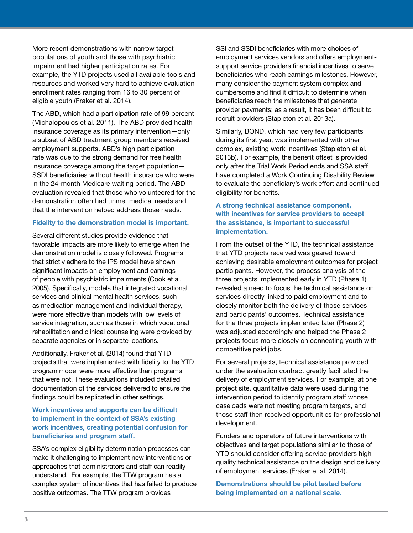More recent demonstrations with narrow target populations of youth and those with psychiatric impairment had higher participation rates. For example, the YTD projects used all available tools and resources and worked very hard to achieve evaluation enrollment rates ranging from 16 to 30 percent of eligible youth (Fraker et al. 2014).

The ABD, which had a participation rate of 99 percent (Michalopoulos et al. 2011). The ABD provided health insurance coverage as its primary intervention—only a subset of ABD treatment group members received employment supports. ABD's high participation rate was due to the strong demand for free health insurance coverage among the target population— SSDI beneficiaries without health insurance who were in the 24-month Medicare waiting period. The ABD evaluation revealed that those who volunteered for the demonstration often had unmet medical needs and that the intervention helped address those needs.

#### Fidelity to the demonstration model is important.

Several different studies provide evidence that favorable impacts are more likely to emerge when the demonstration model is closely followed. Programs that strictly adhere to the IPS model have shown significant impacts on employment and earnings of people with psychiatric impairments (Cook et al. 2005). Specifically, models that integrated vocational services and clinical mental health services, such as medication management and individual therapy, were more effective than models with low levels of service integration, such as those in which vocational rehabilitation and clinical counseling were provided by separate agencies or in separate locations.

Additionally, Fraker et al. (2014) found that YTD projects that were implemented with fidelity to the YTD program model were more effective than programs that were not. These evaluations included detailed documentation of the services delivered to ensure the findings could be replicated in other settings.

Work incentives and supports can be difficult to implement in the context of SSA's existing work incentives, creating potential confusion for beneficiaries and program staff.

SSA's complex eligibility determination processes can make it challenging to implement new interventions or approaches that administrators and staff can readily understand. For example, the TTW program has a complex system of incentives that has failed to produce positive outcomes. The TTW program provides

SSI and SSDI beneficiaries with more choices of employment services vendors and offers employmentsupport service providers financial incentives to serve beneficiaries who reach earnings milestones. However, many consider the payment system complex and cumbersome and find it difficult to determine when beneficiaries reach the milestones that generate provider payments; as a result, it has been difficult to recruit providers (Stapleton et al. 2013a).

Similarly, BOND, which had very few participants during its first year, was implemented with other complex, existing work incentives (Stapleton et al. 2013b). For example, the benefit offset is provided only after the Trial Work Period ends and SSA staff have completed a Work Continuing Disability Review to evaluate the beneficiary's work effort and continued eligibility for benefits.

## A strong technical assistance component, with incentives for service providers to accept the assistance, is important to successful implementation.

From the outset of the YTD, the technical assistance that YTD projects received was geared toward achieving desirable employment outcomes for project participants. However, the process analysis of the three projects implemented early in YTD (Phase 1) revealed a need to focus the technical assistance on services directly linked to paid employment and to closely monitor both the delivery of those services and participants' outcomes. Technical assistance for the three projects implemented later (Phase 2) was adjusted accordingly and helped the Phase 2 projects focus more closely on connecting youth with competitive paid jobs.

For several projects, technical assistance provided under the evaluation contract greatly facilitated the delivery of employment services. For example, at one project site, quantitative data were used during the intervention period to identify program staff whose caseloads were not meeting program targets, and those staff then received opportunities for professional development.

Funders and operators of future interventions with objectives and target populations similar to those of YTD should consider offering service providers high quality technical assistance on the design and delivery of employment services (Fraker et al. 2014).

Demonstrations should be pilot tested before being implemented on a national scale.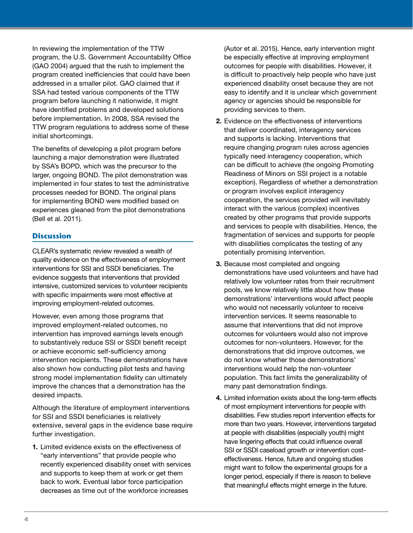In reviewing the implementation of the TTW program, the U.S. Government Accountability Office (GAO 2004) argued that the rush to implement the program created inefficiencies that could have been addressed in a smaller pilot. GAO claimed that if SSA had tested various components of the TTW program before launching it nationwide, it might have identified problems and developed solutions before implementation. In 2008, SSA revised the TTW program regulations to address some of these initial shortcomings.

The benefits of developing a pilot program before launching a major demonstration were illustrated by SSA's BOPD, which was the precursor to the larger, ongoing BOND. The pilot demonstration was implemented in four states to test the administrative processes needed for BOND. The original plans for implementing BOND were modified based on experiences gleaned from the pilot demonstrations (Bell et al. 2011).

## **Discussion**

CLEAR's systematic review revealed a wealth of quality evidence on the effectiveness of employment interventions for SSI and SSDI beneficiaries. The evidence suggests that interventions that provided intensive, customized services to volunteer recipients with specific impairments were most effective at improving employment-related outcomes.

However, even among those programs that improved employment-related outcomes, no intervention has improved earnings levels enough to substantively reduce SSI or SSDI benefit receipt or achieve economic self-sufficiency among intervention recipients. These demonstrations have also shown how conducting pilot tests and having strong model implementation fidelity can ultimately improve the chances that a demonstration has the desired impacts.

Although the literature of employment interventions for SSI and SSDI beneficiaries is relatively extensive, several gaps in the evidence base require further investigation.

1. Limited evidence exists on the effectiveness of "early interventions" that provide people who recently experienced disability onset with services and supports to keep them at work or get them back to work. Eventual labor force participation decreases as time out of the workforce increases

(Autor et al. 2015). Hence, early intervention might be especially effective at improving employment outcomes for people with disabilities. However, it is difficult to proactively help people who have just experienced disability onset because they are not easy to identify and it is unclear which government agency or agencies should be responsible for providing services to them.

- 2. Evidence on the effectiveness of interventions that deliver coordinated, interagency services and supports is lacking. Interventions that require changing program rules across agencies typically need interagency cooperation, which can be difficult to achieve (the ongoing Promoting Readiness of Minors on SSI project is a notable exception). Regardless of whether a demonstration or program involves explicit interagency cooperation, the services provided will inevitably interact with the various (complex) incentives created by other programs that provide supports and services to people with disabilities. Hence, the fragmentation of services and supports for people with disabilities complicates the testing of any potentially promising intervention.
- 3. Because most completed and ongoing demonstrations have used volunteers and have had relatively low volunteer rates from their recruitment pools, we know relatively little about how these demonstrations' interventions would affect people who would not necessarily volunteer to receive intervention services. It seems reasonable to assume that interventions that did not improve outcomes for volunteers would also not improve outcomes for non-volunteers. However, for the demonstrations that did improve outcomes, we do not know whether those demonstrations' interventions would help the non-volunteer population. This fact limits the generalizability of many past demonstration findings.
- 4. Limited information exists about the long-term effects of most employment interventions for people with disabilities. Few studies report intervention effects for more than two years. However, interventions targeted at people with disabilities (especially youth) might have lingering effects that could influence overall SSI or SSDI caseload growth or intervention costeffectiveness. Hence, future and ongoing studies might want to follow the experimental groups for a longer period, especially if there is reason to believe that meaningful effects might emerge in the future.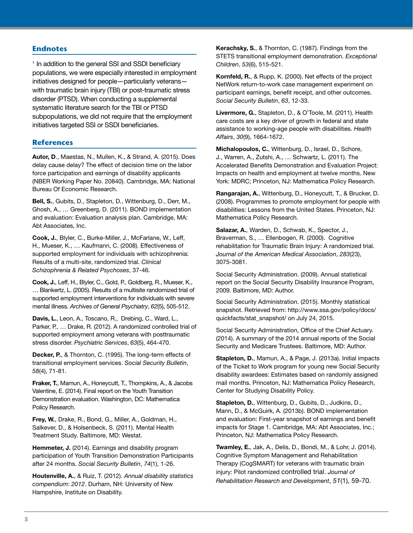#### **Endnotes**

<sup>1</sup> In addition to the general SSI and SSDI beneficiary populations, we were especially interested in employment initiatives designed for people—particularly veterans with traumatic brain injury (TBI) or post-traumatic stress disorder (PTSD). When conducting a supplemental systematic literature search for the TBI or PTSD subpopulations, we did not require that the employment initiatives targeted SSI or SSDI beneficiaries.

#### **References**

Autor, D., Maestas, N., Mullen, K., & Strand, A. (2015). Does delay cause delay? The effect of decision time on the labor force participation and earnings of disability applicants (NBER Working Paper No. 20840). Cambridge, MA: National Bureau Of Economic Research.

Bell, S., Gubits, D., Stapleton, D., Wittenburg, D., Derr, M., Ghosh, A., … Greenberg, D. (2011). BOND implementation and evaluation: Evaluation analysis plan. Cambridge, MA: Abt Associates, Inc.

Cook, J., Blyler, C., Burke-Miller, J., McFarlane, W., Leff, H., Mueser, K., … Kaufmann, C. (2008). Effectiveness of supported employment for individuals with schizophrenia: Results of a multi-site, randomized trial. *Clinical Schizophrenia & Related Psychoses*, 37-46.

Cook, J., Leff, H., Blyler, C., Gold, P., Goldberg, R., Mueser, K., … Blankertz, L. (2005). Results of a multisite randomized trial of supported employment interventions for individuals with severe mental illness. *Archives of General Psychiatry*, *62*(5), 505-512.

Davis, L., Leon, A., Toscano, R., Drebing, C., Ward, L., Parker, P., … Drake, R. (2012). A randomized controlled trial of supported employment among veterans with posttraumatic stress disorder. *Psychiatric Services*, *63*(5), 464-470.

Decker, P., & Thornton, C. (1995). The long-term effects of transitional employment services. *Social Security Bulletin*, *58*(4), 71-81.

Fraker, T., Mamun, A., Honeycutt, T., Thompkins, A., & Jacobs Valentine, E. (2014). Final report on the Youth Transition Demonstration evaluation. Washington, DC: Mathematica Policy Research.

Frey, W., Drake, R., Bond, G., Miller, A., Goldman, H., Salkever, D., & Holsenbeck, S. (2011). Mental Health Treatment Study. Baltimore, MD: Westat.

Hemmeter, J. (2014). Earnings and disability program participation of Youth Transition Demonstration Participants after 24 months. *Social Security Bulletin*, *74*(1), 1-26.

Houtenville, A., & Ruiz, T. (2012). *Annual disability statistics compendium*: *2012*. Durham, NH: University of New Hampshire, Institute on Disability.

Kerachsky, S., & Thornton, C. (1987). Findings from the STETS transitional employment demonstration. *Exceptional Children*, *53*(6), 515-521.

Kornfeld, R., & Rupp, K. (2000). Net effects of the project NetWork return-to-work case management experiment on participant earnings, benefit receipt, and other outcomes. *Social Security Bulletin*, *63*, 12-33.

Livermore, G., Stapleton, D., & O'Toole, M. (2011). Health care costs are a key driver of growth in federal and state assistance to working-age people with disabilities. *Health Affairs*, *30*(9), 1664-1672.

Michalopoulos, C., Wittenburg, D., Israel, D., Schore, J., Warren, A., Zutshi, A., … Schwartz, L. (2011). The Accelerated Benefits Demonstration and Evaluation Project: Impacts on health and employment at twelve months. New York: MDRC; Princeton, NJ: Mathematica Policy Research.

Rangarajan, A., Wittenburg, D., Honeycutt, T., & Brucker, D. (2008). Programmes to promote employment for people with disabilities: Lessons from the United States. Princeton, NJ: Mathematica Policy Research.

Salazar, A., Warden, D., Schwab, K., Spector, J., Braverman, S., … Ellenbogen, R. (2000). Cognitive rehabilitation for Traumatic Brain Injury: A randomized trial. *Journal of the American Medical Association*, *283*(23), 3075-3081.

Social Security Administration. (2009). Annual statistical report on the Social Security Disability Insurance Program, 2009. Baltimore, MD: Author.

Social Security Administration. (2015). Monthly statistical snapshot. Retrieved from: http://www.ssa.gov/policy/docs/ quickfacts/stat\_snapshot/ on July 24, 2015.

Social Security Administration, Office of the Chief Actuary. (2014). A summary of the 2014 annual reports of the Social Security and Medicare Trustees. Baltimore, MD: Author.

Stapleton, D., Mamun, A., & Page, J. (2013a). Initial impacts of the Ticket to Work program for young new Social Security disability awardees: Estimates based on randomly assigned mail months. Princeton, NJ: Mathematica Policy Research, Center for Studying Disability Policy.

Stapleton, D., Wittenburg, D., Gubits, D., Judkins, D., Mann, D., & McGuirk, A. (2013b). BOND implementation and evaluation: First-year snapshot of earnings and benefit impacts for Stage 1. Cambridge, MA: Abt Associates, Inc.; Princeton, NJ: Mathematica Policy Research.

Twamley, E., Jak, A., Delis, D., Bondi, M., & Lohr, J. (2014). Cognitive Symptom Management and Rehabilitation Therapy (CogSMART) for veterans with traumatic brain injury: Pilot randomized controlled trial. *Journal of Rehabilitation Research and Development*, *51*(1), 59-70.